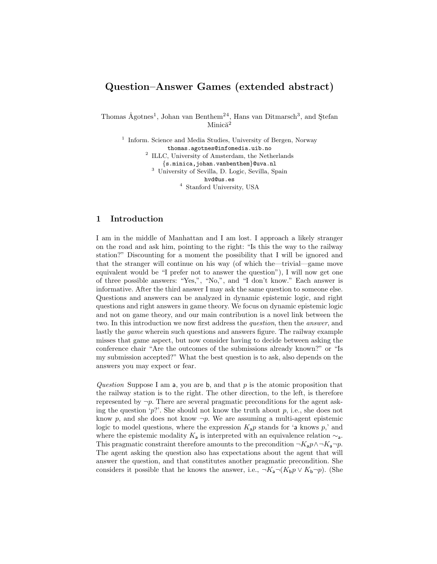# Question–Answer Games (extended abstract)

Thomas Ågotnes<sup>1</sup>, Johan van Benthem<sup>24</sup>, Hans van Ditmarsch<sup>3</sup>, and Ştefan  $Minică<sup>2</sup>$ 

<sup>1</sup> Inform. Science and Media Studies, University of Bergen, Norway thomas.agotnes@infomedia.uib.no <sup>2</sup> ILLC, University of Amsterdam, the Netherlands {s.minica,johan.vanbenthem}@uva.nl <sup>3</sup> University of Sevilla, D. Logic, Sevilla, Spain hvd@us.es <sup>4</sup> Stanford University, USA

# 1 Introduction

I am in the middle of Manhattan and I am lost. I approach a likely stranger on the road and ask him, pointing to the right: "Is this the way to the railway station?" Discounting for a moment the possibility that I will be ignored and that the stranger will continue on his way (of which the—trivial—game move equivalent would be "I prefer not to answer the question"), I will now get one of three possible answers: "Yes,", "No,", and "I don't know." Each answer is informative. After the third answer I may ask the same question to someone else. Questions and answers can be analyzed in dynamic epistemic logic, and right questions and right answers in game theory. We focus on dynamic epistemic logic and not on game theory, and our main contribution is a novel link between the two. In this introduction we now first address the question, then the answer, and lastly the game wherein such questions and answers figure. The railway example misses that game aspect, but now consider having to decide between asking the conference chair "Are the outcomes of the submissions already known?" or "Is my submission accepted?" What the best question is to ask, also depends on the answers you may expect or fear.

Question Suppose I am a, you are b, and that  $p$  is the atomic proposition that the railway station is to the right. The other direction, to the left, is therefore represented by  $\neg p$ . There are several pragmatic preconditions for the agent asking the question 'p?'. She should not know the truth about p, i.e., she does not know p, and she does not know  $\neg p$ . We are assuming a multi-agent epistemic logic to model questions, where the expression  $K_a p$  stands for 'a knows p,' and where the epistemic modality  $K_a$  is interpreted with an equivalence relation  $\sim_a$ . This pragmatic constraint therefore amounts to the precondition  $\neg K_a p \wedge \neg K_a \neg p$ . The agent asking the question also has expectations about the agent that will answer the question, and that constitutes another pragmatic precondition. She considers it possible that he knows the answer, i.e.,  $\neg K_a \neg (K_b p \lor K_b \neg p)$ . (She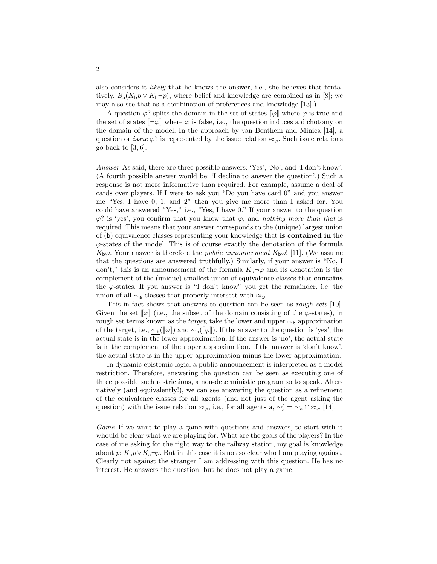also considers it likely that he knows the answer, i.e., she believes that tentatively,  $B_a(K_b p \vee K_b \neg p)$ , where belief and knowledge are combined as in [8]; we may also see that as a combination of preferences and knowledge [13].)

A question  $\varphi$ ? splits the domain in the set of states  $\llbracket \varphi \rrbracket$  where  $\varphi$  is true and the set of states  $[\neg \varphi]$  where  $\varphi$  is false, i.e., the question induces a dichotomy on the domain of the model. In the approach by van Benthem and Minica [14], a question or *issue*  $\varphi$ ? is represented by the issue relation  $\approx_{\varphi}$ . Such issue relations go back to  $[3, 6]$ .

Answer As said, there are three possible answers: 'Yes', 'No', and 'I don't know'. (A fourth possible answer would be: 'I decline to answer the question'.) Such a response is not more informative than required. For example, assume a deal of cards over players. If I were to ask you "Do you have card 0" and you answer me "Yes, I have 0, 1, and 2" then you give me more than I asked for. You could have answered "Yes," i.e., "Yes, I have 0." If your answer to the question  $\varphi$ ? is 'yes', you confirm that you know that  $\varphi$ , and nothing more than that is required. This means that your answer corresponds to the (unique) largest union of (b) equivalence classes representing your knowledge that is contained in the  $\varphi$ -states of the model. This is of course exactly the denotation of the formula  $K_b\varphi$ . Your answer is therefore the *public announcement*  $K_b\varphi$ ! [11]. (We assume that the questions are answered truthfully.) Similarly, if your answer is "No, I don't," this is an announcement of the formula  $K_b\neg\varphi$  and its denotation is the complement of the (unique) smallest union of equivalence classes that contains the  $\varphi$ -states. If you answer is "I don't know" you get the remainder, i.e. the union of all  $\sim_{\mathsf{a}}$  classes that properly intersect with  $\approx_{\varphi}$ .

This in fact shows that answers to question can be seen as *rough sets* [10]. Given the set  $\llbracket \varphi \rrbracket$  (i.e., the subset of the domain consisting of the  $\varphi$ -states), in rough set terms known as the *target*, take the lower and upper  $\sim_b$  approximation of the target, i.e.,  $\sim_b([\varphi])$  and  $\overline{\sim_b}([\varphi])$ . If the answer to the question is 'yes', the actual state is in the lower approximation. If the answer is 'no', the actual state is in the complement of the upper approximation. If the answer is 'don't know', the actual state is in the upper approximation minus the lower approximation.

In dynamic epistemic logic, a public announcement is interpreted as a model restriction. Therefore, answering the question can be seen as executing one of three possible such restrictions, a non-deterministic program so to speak. Alternatively (and equivalently!), we can see answering the question as a refinement of the equivalence classes for all agents (and not just of the agent asking the question) with the issue relation  $\approx_{\varphi}$ , i.e., for all agents a,  $\sim'_{\mathsf{a}} = \sim_{\mathsf{a}} \cap \approx_{\varphi} [14]$ .

Game If we want to play a game with questions and answers, to start with it whould be clear what we are playing for. What are the goals of the players? In the case of me asking for the right way to the railway station, my goal is knowledge about p:  $K_a p \vee K_a \neg p$ . But in this case it is not so clear who I am playing against. Clearly not against the stranger I am addressing with this question. He has no interest. He answers the question, but he does not play a game.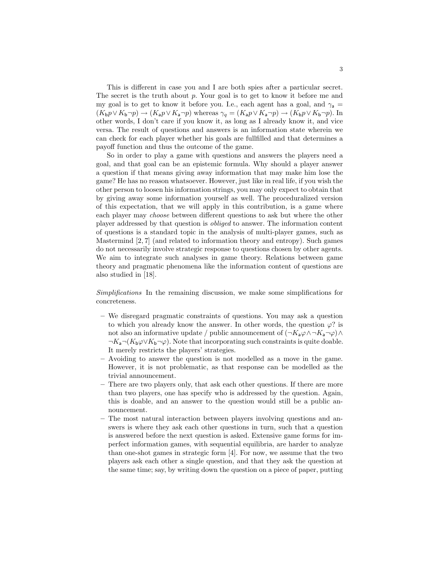This is different in case you and I are both spies after a particular secret. The secret is the truth about p. Your goal is to get to know it before me and my goal is to get to know it before you. I.e., each agent has a goal, and  $\gamma_a =$  $(K_b p \vee K_b \neg p) \rightarrow (K_a p \vee K_a \neg p)$  whereas  $\gamma_q = (K_a p \vee K_a \neg p) \rightarrow (K_b p \vee K_b \neg p)$ . In other words, I don't care if you know it, as long as I already know it, and vice versa. The result of questions and answers is an information state wherein we can check for each player whether his goals are fullfilled and that determines a payoff function and thus the outcome of the game.

So in order to play a game with questions and answers the players need a goal, and that goal can be an epistemic formula. Why should a player answer a question if that means giving away information that may make him lose the game? He has no reason whatsoever. However, just like in real life, if you wish the other person to loosen his information strings, you may only expect to obtain that by giving away some information yourself as well. The proceduralized version of this expectation, that we will apply in this contribution, is a game where each player may choose between different questions to ask but where the other player addressed by that question is obliged to answer. The information content of questions is a standard topic in the analysis of multi-player games, such as Mastermind [2, 7] (and related to information theory and entropy). Such games do not necessarily involve strategic response to questions chosen by other agents. We aim to integrate such analyses in game theory. Relations between game theory and pragmatic phenomena like the information content of questions are also studied in [18].

Simplifications In the remaining discussion, we make some simplifications for concreteness.

- We disregard pragmatic constraints of questions. You may ask a question to which you already know the answer. In other words, the question  $\varphi$ ? is not also an informative update / public announcement of  $(\neg K_a \varphi \land \neg K_a \neg \varphi) \land$  $\neg K_a \neg (K_b \varphi \lor K_b \neg \varphi)$ . Note that incorporating such constraints is quite doable. It merely restricts the players' strategies.
- Avoiding to answer the question is not modelled as a move in the game. However, it is not problematic, as that response can be modelled as the trivial announcement.
- There are two players only, that ask each other questions. If there are more than two players, one has specify who is addressed by the question. Again, this is doable, and an answer to the question would still be a public announcement.
- The most natural interaction between players involving questions and answers is where they ask each other questions in turn, such that a question is answered before the next question is asked. Extensive game forms for imperfect information games, with sequential equilibria, are harder to analyze than one-shot games in strategic form [4]. For now, we assume that the two players ask each other a single question, and that they ask the question at the same time; say, by writing down the question on a piece of paper, putting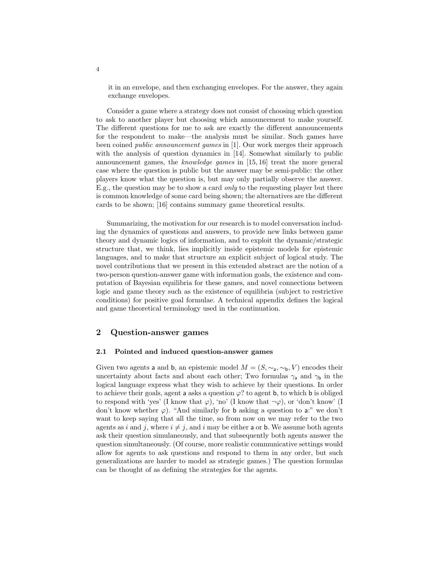it in an envelope, and then exchanging envelopes. For the answer, they again exchange envelopes.

Consider a game where a strategy does not consist of choosing which question to ask to another player but choosing which announcement to make yourself. The different questions for me to ask are exactly the different announcements for the respondent to make—the analysis must be similar. Such games have been coined public announcement games in [1]. Our work merges their approach with the analysis of question dynamics in [14]. Somewhat similarly to public announcement games, the knowledge games in [15, 16] treat the more general case where the question is public but the answer may be semi-public: the other players know what the question is, but may only partially observe the answer. E.g., the question may be to show a card only to the requesting player but there is common knowledge of some card being shown; the alternatives are the different cards to be shown; [16] contains summary game theoretical results.

Summarizing, the motivation for our research is to model conversation including the dynamics of questions and answers, to provide new links between game theory and dynamic logics of information, and to exploit the dynamic/strategic structure that, we think, lies implicitly inside epistemic models for epistemic languages, and to make that structure an explicit subject of logical study. The novel contributions that we present in this extended abstract are the notion of a two-person question-answer game with information goals, the existence and computation of Bayesian equilibria for these games, and novel connections between logic and game theory such as the existence of equilibria (subject to restrictive conditions) for positive goal formulae. A technical appendix defines the logical and game theoretical terminology used in the continuation.

#### 2 Question-answer games

#### 2.1 Pointed and induced question-answer games

Given two agents a and b, an epistemic model  $M = (S, \sim_a, \sim_b, V)$  encodes their uncertainty about facts and about each other; Two formulas  $\gamma_a$  and  $\gamma_b$  in the logical language express what they wish to achieve by their questions. In order to achieve their goals, agent a asks a question  $\varphi$ ? to agent b, to which b is obliged to respond with 'yes' (I know that  $\varphi$ ), 'no' (I know that  $\neg \varphi$ ), or 'don't know' (I don't know whether  $\varphi$ ). "And similarly for **b** asking a question to a:" we don't want to keep saying that all the time, so from now on we may refer to the two agents as i and j, where  $i \neq j$ , and i may be either a or b. We assume both agents ask their question simulaneously, and that subsequently both agents answer the question simultaneously. (Of course, more realistic communicative settings would allow for agents to ask questions and respond to them in any order, but such generalizations are harder to model as strategic games.) The question formulas can be thought of as defining the strategies for the agents.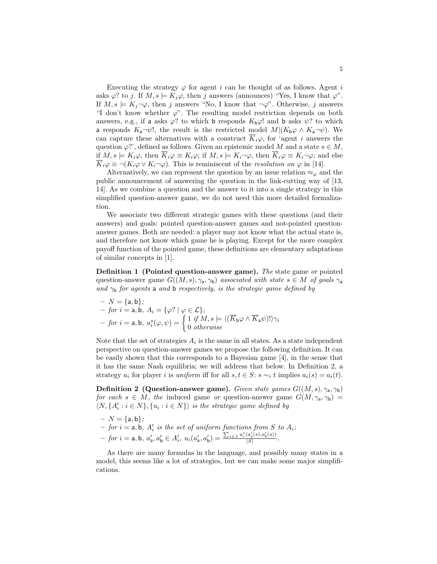Executing the strategy  $\varphi$  for agent i can be thought of as follows. Agent i asks  $\varphi$ ? to j. If  $M, s \models K_j \varphi$ , then j answers (announces) "Yes, I know that  $\varphi$ ". If  $M, s \models K_j \neg \varphi$ , then j answers "No, I know that  $\neg \varphi$ ". Otherwise, j answers "I don't know whether  $\varphi$ ". The resulting model restriction depends on both answers, e.g., if a asks  $\varphi$ ? to which b responds  $K_b\varphi$ ! and b asks  $\psi$ ? to which a responds  $K_a\neg\psi!$ , the result is the restricted model  $M|(K_b\varphi \wedge K_a\neg\psi)$ . We can capture these alternatives with a construct  $\overline{K}_i\varphi$ , for 'agent i answers the question  $\varphi$ ?', defined as follows. Given an epistemic model M and a state  $s \in M$ , if  $M, s \models K_i\varphi$ , then  $\overline{K}_i\varphi \equiv K_i\varphi$ ; if  $M, s \models K_i\neg\varphi$ , then  $\overline{K}_i\varphi \equiv K_i\neg\varphi$ ; and else  $\overline{K}_i\varphi \equiv \neg(K_i\varphi \vee K_i\neg \varphi)$ . This is reminiscent of the *resolution on*  $\varphi$  in [14].

Alternatively, we can represent the question by an issue relation  $\approx_{\varphi}$  and the public announcement of answering the question in the link-cutting way of [13, 14]. As we combine a question and the answer to it into a single strategy in this simplified question-answer game, we do not need this more detailed formalization.

We associate two different strategic games with these questions (and their answers) and goals: pointed question-answer games and not-pointed questionanswer games. Both are needed: a player may not know what the actual state is, and therefore not know which game he is playing. Except for the more complex payoff function of the pointed game, these definitions are elementary adaptations of similar concepts in [1].

**Definition 1 (Pointed question-answer game).** The state game or pointed question-answer game  $G((M, s), \gamma_a, \gamma_b)$  associated with state  $s \in M$  of goals  $\gamma_a$ and  $\gamma_b$  for agents a and b respectively, is the strategic game defined by

$$
- N = \{a, b\};
$$
  
- for  $i = a, b, A_i = \{\varphi\} \mid \varphi \in \mathcal{L}\};$   
- for  $i = a, b, u_i^s(\varphi, \psi) = \begin{cases} 1 & \text{if } M, s \models \langle (\overline{K}_b \varphi \wedge \overline{K}_a \psi)! \rangle \gamma_i \\ 0 & \text{otherwise} \end{cases}$ 

Note that the set of strategies  $A_i$  is the same in all states. As a state independent perspective on question-answer games we propose the following definition. It can be easily shown that this corresponds to a Bayesian game [4], in the sense that it has the same Nash equilibria; we will address that below. In Definition 2, a strategy  $a_i$  for player i is uniform iff for all  $s, t \in S$ :  $s \sim_i t$  implies  $a_i(s) = a_i(t)$ .

**Definition 2 (Question-answer game).** Given state games  $G((M, s), \gamma_a, \gamma_b)$ for each  $s \in M$ , the induced game or question-answer game  $G(M, \gamma_a, \gamma_b)$  $\langle N, \{A'_i : i \in N\}, \{u_i : i \in N\}\rangle$  is the strategic game defined by

$$
- N = \{a, b\};
$$
  
- for  $i = a, b, A'_i$  is the set of uniform functions from S to  $A_i$ ;  
- for  $i = a, b, a'_a, a'_b \in A'_i$ ,  $u_i(a'_a, a'_b) = \frac{\sum_{s \in S} u_i^s(a'_s(s), a'_b(s))}{|S|}.$ 

As there are many formulas in the language, and possibly many states in a model, this seems like a lot of strategies, but we can make some major simplifications.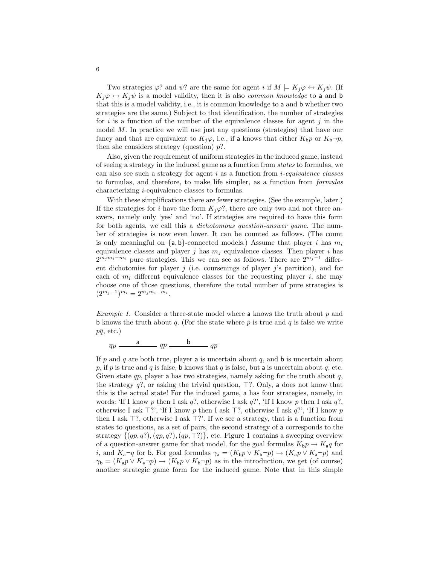Two strategies  $\varphi$ ? and  $\psi$ ? are the same for agent i if  $M \models K_i \varphi \leftrightarrow K_j \psi$ . (If  $K_i\varphi \leftrightarrow K_i\psi$  is a model validity, then it is also *common knowledge* to a and b that this is a model validity, i.e., it is common knowledge to a and b whether two strategies are the same.) Subject to that identification, the number of strategies for i is a function of the number of the equivalence classes for agent j in the model M. In practice we will use just any questions (strategies) that have our fancy and that are equivalent to  $K_i\varphi$ , i.e., if a knows that either  $K_b p$  or  $K_b\neg p$ , then she considers strategy (question)  $p$ ?.

Also, given the requirement of uniform strategies in the induced game, instead of seeing a strategy in the induced game as a function from states to formulas, we can also see such a strategy for agent  $i$  as a function from  $i$ -equivalence classes to formulas, and therefore, to make life simpler, as a function from formulas characterizing i-equivalence classes to formulas.

With these simplifications there are fewer strategies. (See the example, later.) If the strategies for i have the form  $K_j\varphi$ ?, there are only two and not three answers, namely only 'yes' and 'no'. If strategies are required to have this form for both agents, we call this a dichotomous question-answer game. The number of strategies is now even lower. It can be counted as follows. (The count is only meaningful on  $\{a, b\}$ -connected models.) Assume that player i has  $m_i$ equivalence classes and player j has  $m_i$  equivalence classes. Then player i has  $2^{m_j m_i - m_i}$  pure strategies. This we can see as follows. There are  $2^{m_j - 1}$  different dichotomies for player j (i.e. coursenings of player j's partition), and for each of  $m_i$  different equivalence classes for the requesting player i, she may choose one of those questions, therefore the total number of pure strategies is  $(2^{m_j-1})^{m_i} = 2^{m_j m_i - m_i}.$ 

*Example 1.* Consider a three-state model where a knows the truth about  $p$  and b knows the truth about q. (For the state where  $p$  is true and  $q$  is false we write  $p\overline{q}$ , etc.)

$$
\overline{q}p \xrightarrow{\qquad \qquad a \qquad} qp \xrightarrow{\qquad \qquad b \qquad} q\overline{p}
$$

If p and q are both true, player a is uncertain about  $q$ , and b is uncertain about p, if p is true and q is false, b knows that q is false, but a is uncertain about q; etc. Given state  $qp$ , player a has two strategies, namely asking for the truth about  $q$ , the strategy  $q$ ?, or asking the trivial question,  $\top$ ?. Only, a does not know that this is the actual state! For the induced game, a has four strategies, namely, in words: 'If I know p then I ask q?, otherwise I ask q?', 'If I know p then I ask q?, otherwise I ask  $\top$ ?', 'If I know p then I ask  $\top$ ?, otherwise I ask q?', 'If I know p then I ask  $\top$ ?, otherwise I ask  $\top$ ?'. If we see a strategy, that is a function from states to questions, as a set of pairs, the second strategy of a corresponds to the strategy  $\{(\overline{q}p, q?)$ ,  $(qp, q?)$ ,  $(q\overline{p}, \overline{T})\}$ , etc. Figure 1 contains a sweeping overview of a question-answer game for that model, for the goal formulas  $K_b p \to K_a q$  for *i*, and  $K_a \neg q$  for **b**. For goal formulas  $\gamma_a = (K_b p \lor K_b \neg p) \rightarrow (K_a p \lor K_a \neg p)$  and  $\gamma_{\mathbf{b}} = (K_{\mathbf{a}} p \vee K_{\mathbf{a}} \neg p) \rightarrow (K_{\mathbf{b}} p \vee K_{\mathbf{b}} \neg p)$  as in the introduction, we get (of course) another strategic game form for the induced game. Note that in this simple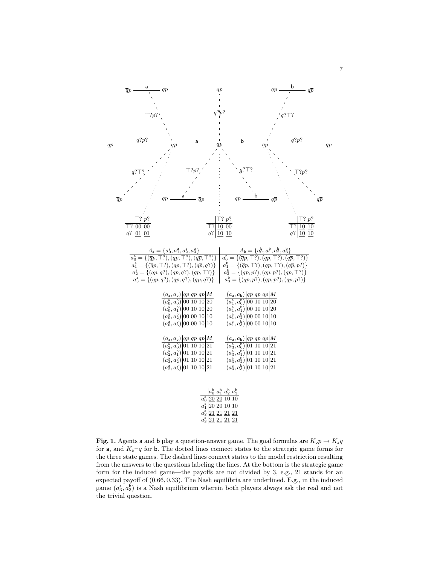

**Fig. 1.** Agents a and b play a question-answer game. The goal formulas are  $K_b p \rightarrow K_a q$ for a, and  $K_a \neg q$  for b. The dotted lines connect states to the strategic game forms for the three state games. The dashed lines connect states to the model restriction resulting from the answers to the questions labeling the lines. At the bottom is the strategic game form for the induced game—the payoffs are not divided by 3, e.g., 21 stands for an expected payoff of (0.66, 0.33). The Nash equilibria are underlined. E.g., in the induced game  $(a_3^a, a_3^b)$  is a Nash equilibrium wherein both players always ask the real and not the trivial question.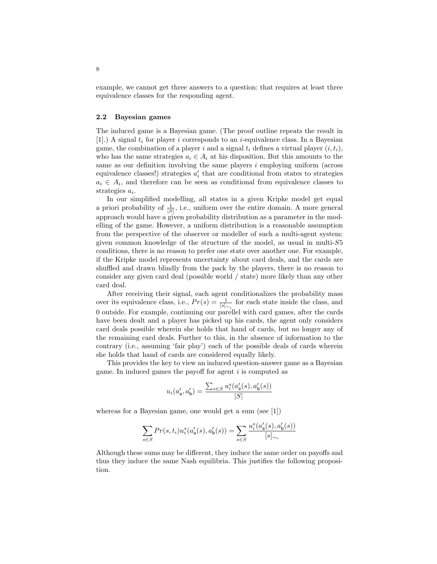example, we cannot get three answers to a question: that requires at least three equivalence classes for the responding agent.

#### 2.2 Bayesian games

The induced game is a Bayesian game. (The proof outline repeats the result in [1].) A signal  $t_i$  for player i corresponds to an *i*-equivalence class. In a Bayesian game, the combination of a player i and a signal  $t_i$  defines a virtual player  $(i, t_i)$ , who has the same strategies  $a_i \in A_i$  at his disposition. But this amounts to the same as our definition involving the same players i employing uniform (across equivalence classes!) strategies  $a'_i$  that are conditional from states to strategies  $a_i \in A_i$ , and therefore can be seen as conditional from equivalence classes to strategies  $a_i$ .

In our simplified modelling, all states in a given Kripke model get equal a priori probability of  $\frac{1}{|S|}$ , i.e., uniform over the entire domain. A more general approach would have a given probability distribution as a parameter in the modelling of the game. However, a uniform distribution is a reasonable assumption from the perspective of the observer or modeller of such a multi-agent system: given common knowledge of the structure of the model, as usual in multi-S5 conditions, there is no reason to prefer one state over another one. For example, if the Kripke model represents uncertainty about card deals, and the cards are shuffled and drawn blindly from the pack by the players, there is no reason to consider any given card deal (possible world / state) more likely than any other card deal.

After receiving their signal, each agent conditionalizes the probability mass over its equivalence class, i.e.,  $Pr(s) = \frac{1}{[s]_{\sim i}}$  for each state inside the class, and 0 outside. For example, continuing our parellel with card games, after the cards have been dealt and a player has picked up his cards, the agent only considers card deals possible wherein she holds that hand of cards, but no longer any of the remaining card deals. Further to this, in the absence of information to the contrary (i.e., assuming 'fair play') each of the possible deals of cards wherein she holds that hand of cards are considered equally likely.

This provides the key to view an induced question-answer game as a Bayesian game. In induced games the payoff for agent  $i$  is computed as

$$
u_i(a'_a, a'_b) = \frac{\sum_{s \in S} u_i^s(a'_a(s), a'_b(s))}{|S|}
$$

whereas for a Bayesian game, one would get a sum (see [1])

$$
\sum_{s\in S}Pr(s,t_i)u_i^s(a'_{\mathbf{a}}(s),a'_{\mathbf{b}}(s))=\sum_{s\in S}\frac{u_i^s(a'_{\mathbf{a}}(s),a'_{\mathbf{b}}(s))}{[s]_{\sim_i}}
$$

Although these sums may be different, they induce the same order on payoffs and thus they induce the same Nash equilibria. This justifies the following proposition.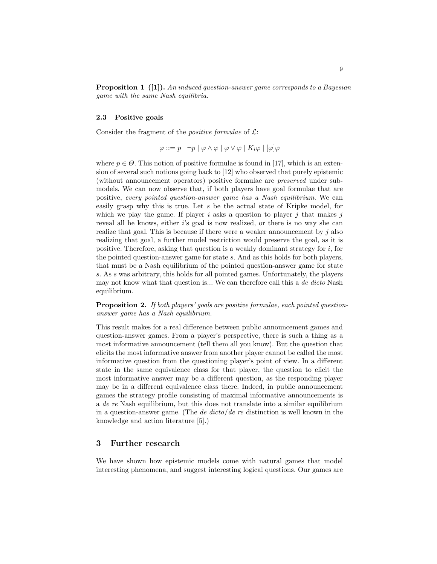**Proposition 1** ([1]). An induced question-answer game corresponds to a Bayesian game with the same Nash equilibria.

#### 2.3 Positive goals

Consider the fragment of the *positive formulae* of  $\mathcal{L}$ :

$$
\varphi ::= p \mid \neg p \mid \varphi \wedge \varphi \mid \varphi \vee \varphi \mid K_i \varphi \mid [\varphi] \varphi
$$

where  $p \in \Theta$ . This notion of positive formulae is found in [17], which is an extension of several such notions going back to [12] who observed that purely epistemic (without announcement operators) positive formulae are preserved under submodels. We can now observe that, if both players have goal formulae that are positive, every pointed question-answer game has a Nash equilibrium. We can easily grasp why this is true. Let s be the actual state of Kripke model, for which we play the game. If player i asks a question to player j that makes j reveal all he knows, either i's goal is now realized, or there is no way she can realize that goal. This is because if there were a weaker announcement by  $\dot{\gamma}$  also realizing that goal, a further model restriction would preserve the goal, as it is positive. Therefore, asking that question is a weakly dominant strategy for i, for the pointed question-answer game for state s. And as this holds for both players, that must be a Nash equilibrium of the pointed question-answer game for state s. As s was arbitrary, this holds for all pointed games. Unfortunately, the players may not know what that question is... We can therefore call this a de dicto Nash equilibrium.

Proposition 2. If both players' goals are positive formulae, each pointed questionanswer game has a Nash equilibrium.

This result makes for a real difference between public announcement games and question-answer games. From a player's perspective, there is such a thing as a most informative announcement (tell them all you know). But the question that elicits the most informative answer from another player cannot be called the most informative question from the questioning player's point of view. In a different state in the same equivalence class for that player, the question to elicit the most informative answer may be a different question, as the responding player may be in a different equivalence class there. Indeed, in public announcement games the strategy profile consisting of maximal informative announcements is a de re Nash equilibrium, but this does not translate into a similar equilibrium in a question-answer game. (The *de dicto/de re* distinction is well known in the knowledge and action literature [5].)

#### 3 Further research

We have shown how epistemic models come with natural games that model interesting phenomena, and suggest interesting logical questions. Our games are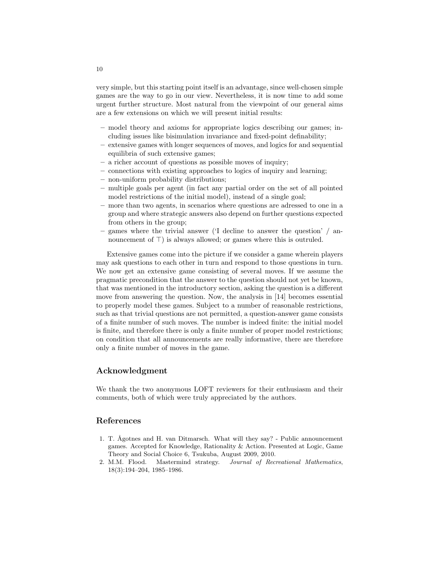very simple, but this starting point itself is an advantage, since well-chosen simple games are the way to go in our view. Nevertheless, it is now time to add some urgent further structure. Most natural from the viewpoint of our general aims are a few extensions on which we will present initial results:

- model theory and axioms for appropriate logics describing our games; including issues like bisimulation invariance and fixed-point definability;
- extensive games with longer sequences of moves, and logics for and sequential equilibria of such extensive games;
- a richer account of questions as possible moves of inquiry;
- connections with existing approaches to logics of inquiry and learning;
- non-uniform probability distributions;
- multiple goals per agent (in fact any partial order on the set of all pointed model restrictions of the initial model), instead of a single goal;
- more than two agents, in scenarios where questions are adressed to one in a group and where strategic answers also depend on further questions expected from others in the group;
- games where the trivial answer ('I decline to answer the question' / announcement of  $\top$ ) is always allowed; or games where this is outruled.

Extensive games come into the picture if we consider a game wherein players may ask questions to each other in turn and respond to those questions in turn. We now get an extensive game consisting of several moves. If we assume the pragmatic precondition that the answer to the question should not yet be known, that was mentioned in the introductory section, asking the question is a different move from answering the question. Now, the analysis in [14] becomes essential to properly model these games. Subject to a number of reasonable restrictions, such as that trivial questions are not permitted, a question-answer game consists of a finite number of such moves. The number is indeed finite: the initial model is finite, and therefore there is only a finite number of proper model restrictions; on condition that all announcements are really informative, there are therefore only a finite number of moves in the game.

### Acknowledgment

We thank the two anonymous LOFT reviewers for their enthusiasm and their comments, both of which were truly appreciated by the authors.

#### References

- 1. T. Ågotnes and H. van Ditmarsch. What will they say? Public announcement games. Accepted for Knowledge, Rationality & Action. Presented at Logic, Game Theory and Social Choice 6, Tsukuba, August 2009, 2010.
- 2. M.M. Flood. Mastermind strategy. Journal of Recreational Mathematics, 18(3):194–204, 1985–1986.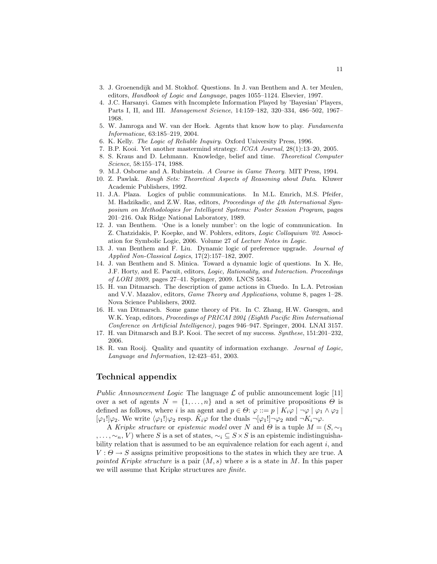- 3. J. Groenendijk and M. Stokhof. Questions. In J. van Benthem and A. ter Meulen, editors, Handbook of Logic and Language, pages 1055–1124. Elsevier, 1997.
- 4. J.C. Harsanyi. Games with Incomplete Information Played by 'Bayesian' Players, Parts I, II, and III. Management Science, 14:159–182, 320–334, 486–502, 1967– 1968.
- 5. W. Jamroga and W. van der Hoek. Agents that know how to play. Fundamenta Informaticae, 63:185–219, 2004.
- 6. K. Kelly. The Logic of Reliable Inquiry. Oxford University Press, 1996.
- 7. B.P. Kooi. Yet another mastermind strategy. ICGA Journal, 28(1):13–20, 2005.
- 8. S. Kraus and D. Lehmann. Knowledge, belief and time. Theoretical Computer Science, 58:155–174, 1988.
- 9. M.J. Osborne and A. Rubinstein. A Course in Game Theory. MIT Press, 1994.
- 10. Z. Pawlak. Rough Sets: Theoretical Aspects of Reasoning about Data. Kluwer Academic Publishers, 1992.
- 11. J.A. Plaza. Logics of public communications. In M.L. Emrich, M.S. Pfeifer, M. Hadzikadic, and Z.W. Ras, editors, Proceedings of the 4th International Symposium on Methodologies for Intelligent Systems: Poster Session Program, pages 201–216. Oak Ridge National Laboratory, 1989.
- 12. J. van Benthem. 'One is a lonely number': on the logic of communication. In Z. Chatzidakis, P. Koepke, and W. Pohlers, editors, Logic Colloquium '02. Association for Symbolic Logic, 2006. Volume 27 of Lecture Notes in Logic.
- 13. J. van Benthem and F. Liu. Dynamic logic of preference upgrade. Journal of Applied Non-Classical Logics, 17(2):157–182, 2007.
- 14. J. van Benthem and S. Minica. Toward a dynamic logic of questions. In X. He, J.F. Horty, and E. Pacuit, editors, Logic, Rationality, and Interaction. Proceedings of LORI 2009, pages 27–41. Springer, 2009. LNCS 5834.
- 15. H. van Ditmarsch. The description of game actions in Cluedo. In L.A. Petrosian and V.V. Mazalov, editors, Game Theory and Applications, volume 8, pages 1–28. Nova Science Publishers, 2002.
- 16. H. van Ditmarsch. Some game theory of Pit. In C. Zhang, H.W. Guesgen, and W.K. Yeap, editors, Proceedings of PRICAI 2004 (Eighth Pacific Rim International Conference on Artificial Intelligence), pages 946–947. Springer, 2004. LNAI 3157.
- 17. H. van Ditmarsch and B.P. Kooi. The secret of my success. Synthese, 151:201–232, 2006.
- 18. R. van Rooij. Quality and quantity of information exchange. Journal of Logic, Language and Information, 12:423–451, 2003.

## Technical appendix

Public Announcement Logic The language  $\mathcal L$  of public announcement logic [11] over a set of agents  $N = \{1, \ldots, n\}$  and a set of primitive propositions  $\Theta$  is defined as follows, where i is an agent and  $p \in \Theta$ :  $\varphi ::= p | K_i \varphi | \neg \varphi | \varphi_1 \wedge \varphi_2 |$  $[\varphi_1] \varphi_2$ . We write  $\langle \varphi_1! \rangle \varphi_2$  resp.  $\widetilde{K}_i \varphi$  for the duals  $\neg[\varphi_1!] \neg \varphi_2$  and  $\neg K_i \neg \varphi$ .

A Kripke structure or epistemic model over N and  $\Theta$  is a tuple  $M = (S, \sim_1)$ , ...,  $\sim_n$ , V) where S is a set of states,  $\sim_i S \times S$  is an epistemic indistinguishability relation that is assumed to be an equivalence relation for each agent  $i$ , and  $V : \Theta \to S$  assigns primitive propositions to the states in which they are true. A pointed Kripke structure is a pair  $(M, s)$  where s is a state in M. In this paper we will assume that Kripke structures are finite.